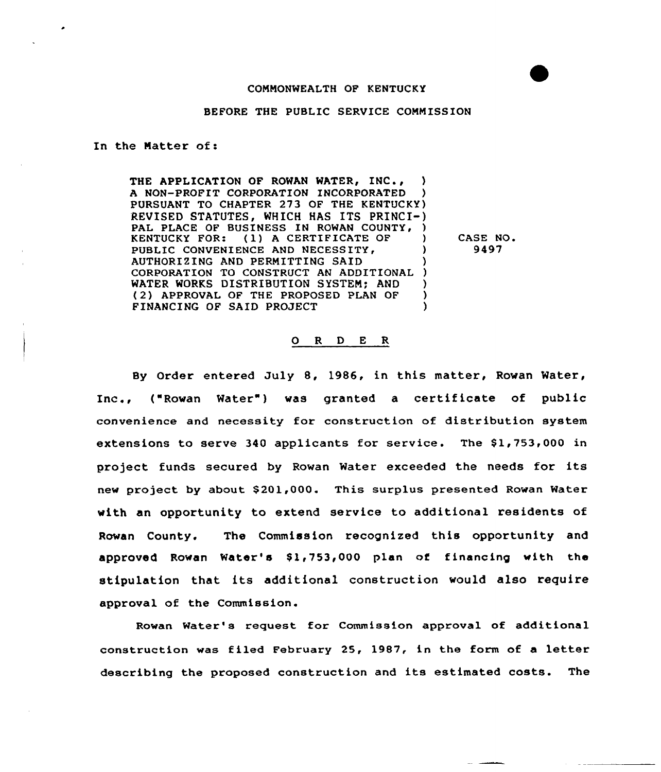## COMMONWEALTH OF KENTUCKY

## BEFORE THE PUBLIC SERVICE COMMISSION

## In the Natter of:

THE APPLICATION OF ROWAN WATER, INC., A NON-PROFIT CORPORATION INCORPORATED PURSUANT TO CHAPTER 273 OF THE KENTUCKY) REVISED STATUTES, WHICH HAS ITS PRINCI-) PAL PLACE OF BUSINESS IN ROWAN COUNTY, )<br>KENTUCKY FOR: (1) A CERTIFICATE OF ) (1) A CERTIFICATE OF PUBLIC CONVENIENCE AND NECESSITY. AUTHORIZING AND PERMITTING SAID ) CORPORATION TO CONSTRUCT AN ADDITIONAL WATER WORKS DISTRIBUTION SYSTEM; AND (2) APPROVAL OF THE PROPOSED PLAN OF )<br>FINANCING OF SAID PROJECT (1) FINANCING OF SAID PROJECT )

CASE NO 9497

## 0 <sup>R</sup> <sup>D</sup> E R

By Order entered July 8, 1986, in this matter, Rowan Water, Inc., ("Rowan Water") was granted a certificate of public convenience and necessity for construction of distribution system extensions to serve 340 applicants for service. The \$1,753,000 in project funds secured by Rowan Water exceeded the needs for its new project by about \$201,000. This surplus presented Rowan Mater with an opportunity to extend service to additional residents of Rowan County. The Commission recognized this opportunity and approved Rowan Water's \$1,753,000 plan of financing with the stipulation that its additional construction would also require approval of the Commission.

Rowan Water's request for Commission approval of additional construction was filed February 25, 1987, in the form of a letter describing the proposed construction and its estimated costs. The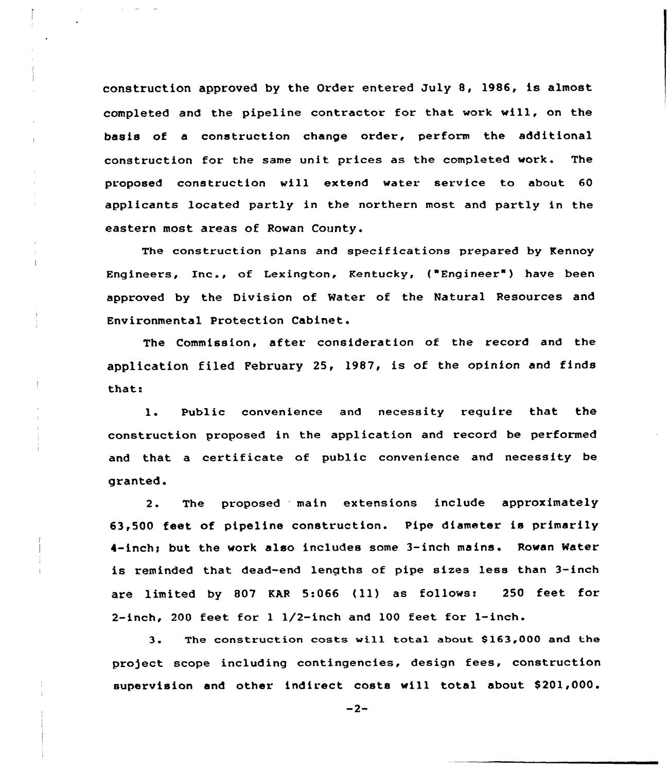construction approved by the Order entered July 8, 1986, is almost completed and the pipeline contractor for that work will, on the basis of a construction change order, perform the additional construction for the same unit prices as the completed work. The proposed construction vill extend water service to about 60 applicants located partly in the northern most and partly in the eastern most areas of Rowan County.

The construction plans and specifications prepared by Kennoy Engineers, Inc., of Lexington, Kentucky, ("Engineer") have been approved by the Division of Water of the Natural Resources and Environmental Protection Cabinet.

The Commission, sftet consideration of the record and the application filed February 25, 1987, is of the opinion and finds that:

1. Public convenience and necessity require that the construction proposed in the application and record be performed and that a certificate of public convenience and necessity be granted.

2. The proposed main extensions include approximately 63,500 feet of pipeline construction. Pipe diameter is primarily 4-inch; but the work also includes some 3-inch mains. Rowan Water is reminded that dead-end lengths of pipe sizes less than 3-inch are limited by <sup>807</sup> KAR 5:066 (ll) as follows: <sup>250</sup> feet for 2-inch, 200 feet for <sup>1</sup> 1/2-inch and 100 feet for l-inch.

3. The construction costs wi11 total about S163,000 and the project scope including contingencies, design fees, construction supervision and other indirect costs will total about \$201,000.

 $-2-$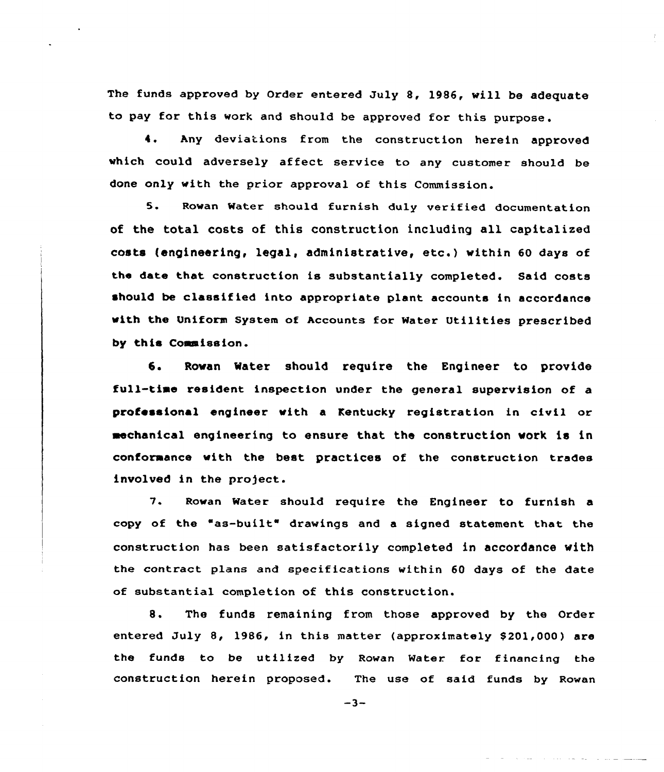The funds approved by Order entered July 8, 1986, will be adequate to pay for this work and should be approved for this purpose.

4. Any deviations from the construction herein approved which could adversely affect service to any customer should be done only with the prior approval of this Commission.

5. Rowan Water should furnish duly verified documentation of the total costs of this construction including all capitalized costs (engineering, legal, administrative, etc.) within <sup>60</sup> days of the date that construction is substantially completed. Said costs should be classified into appropriate plant accounts in accordance with the Vniform system of Accounts for water Utilities prescribed by this Commission.

6. Rowan Water should require the Engineer to provide full-time resident inspection under the general supervision of a professional engineer with a Kentucky registration in civil or mechanical engineering to ensure that the construction work is in conformance with the best practices of the construction trades involved in the project.

7. Rowan Water should require the Engineer to furnish a copy of the "as-built" drawings and a signed statement that the construction has been satisfactorily completed in accordance with the contract plans and specifications within 60 days of the date of substantial completion of this construction.

8. The funds remaining from those approved by the Order entered July 8, 1986, in this matter (approximately \$201,000) are the funds to be utilized by Rowan Water for financing the construction herein proposed. The use of said funds by Rowan

 $-3-$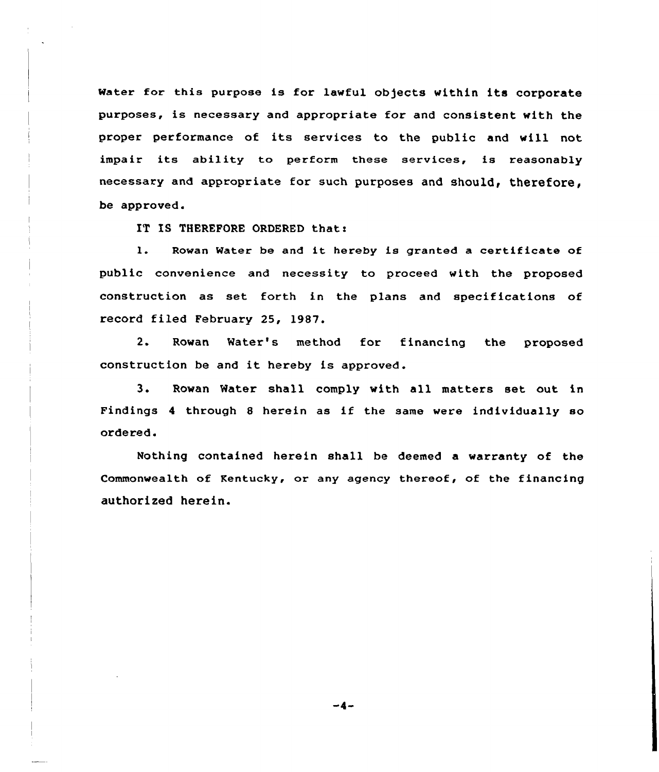Water for this purpose is for lawful objects within its corporate purposes, is necessary and appropriate for and consistent with the proper performance of its services to the public and will not impair its ability to perform these services, is reasonably necessary and appropriate for such purposes and should, therefore, be approved.

IT IS THEREFORE ORDERED that:

1. Rowan Water be and it hereby is granted <sup>a</sup> certificate of public convenience and necessity to proceed with the proposed construction as set forth in the plans and specifications of record filed February 25, l987.

2. Rowan Mater's method for financing the proposed construction be and it hereby is approved .

3. Rowan Water shall comply with all matters set out in Findings <sup>4</sup> through <sup>8</sup> herein as if the same were individually so ordered.

Nothing contained herein shall be deemed a warranty of the Commonwealth of Kentucky, or any agency thereof, of the financing authorized herein.

 $-4-$